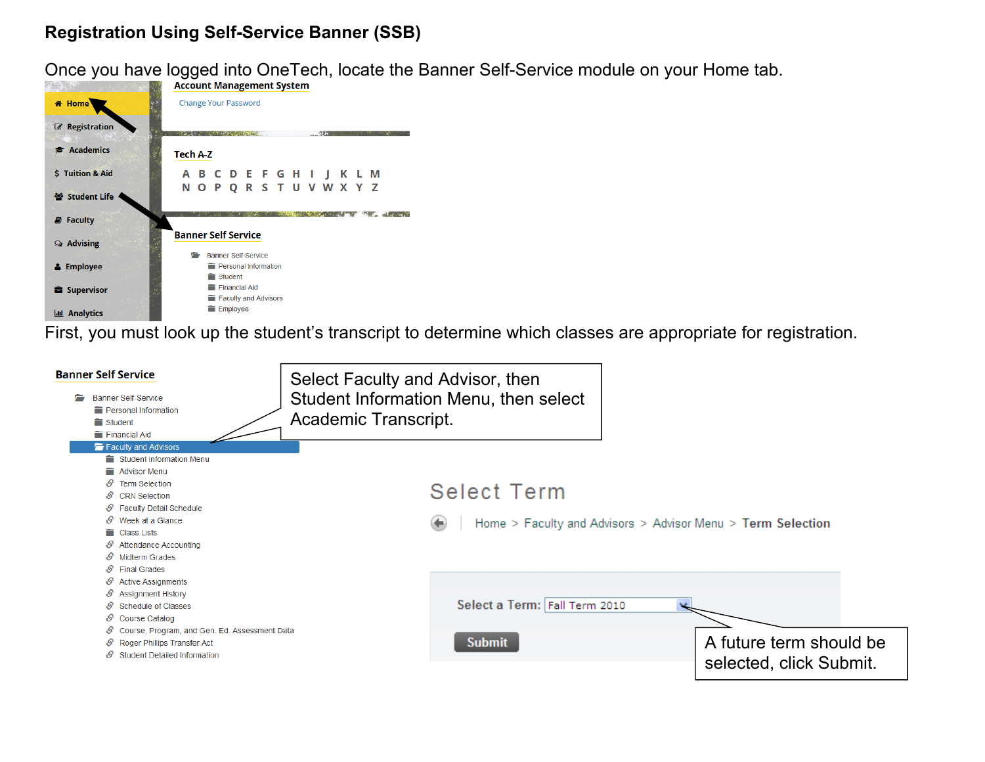## **Registration Using Self-Service Banner (SSB)**

Once you have logged into OneTech, locate the Banner Self-Service module on your Home tab.<br>Recount Margament System



First, you must look up the student's transcript to determine which classes are appropriate for registration.

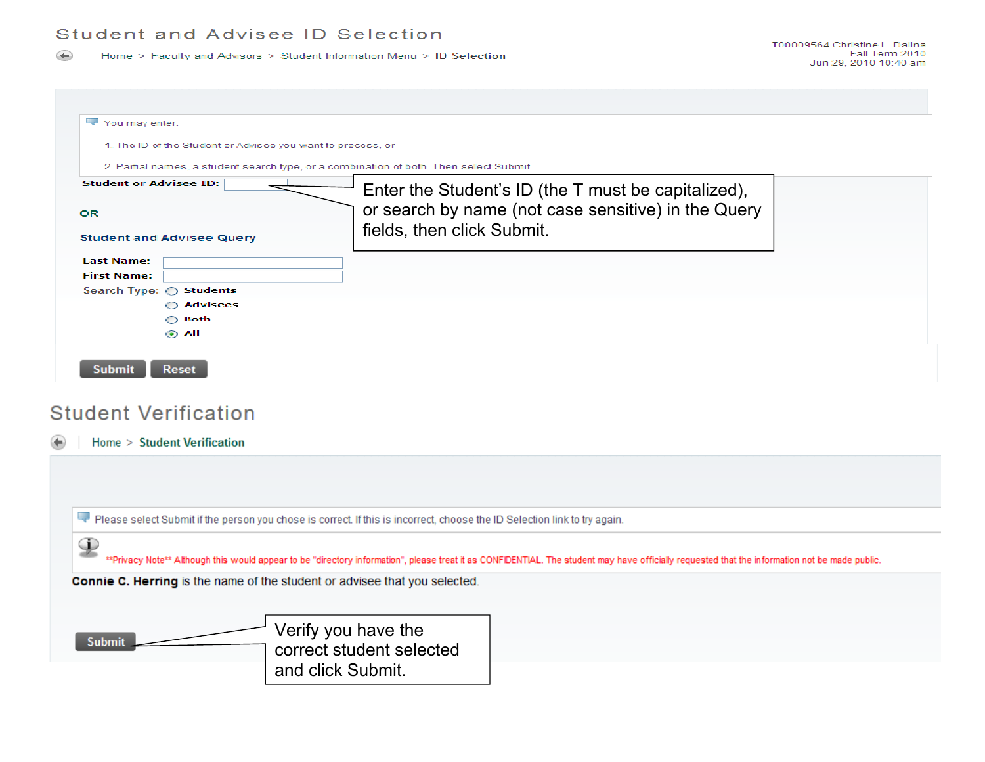Home > Faculty and Advisors > Student Information Menu > ID Selection

| You may enter:                                              |                                                                                                                                                                                                |  |  |  |  |
|-------------------------------------------------------------|------------------------------------------------------------------------------------------------------------------------------------------------------------------------------------------------|--|--|--|--|
| 1. The ID of the Student or Advisee you want to process, or |                                                                                                                                                                                                |  |  |  |  |
|                                                             | 2. Partial names, a student search type, or a combination of both. Then select Submit.                                                                                                         |  |  |  |  |
| <b>Student or Advisee ID:</b>                               | Enter the Student's ID (the T must be capitalized),                                                                                                                                            |  |  |  |  |
| OR                                                          | or search by name (not case sensitive) in the Query                                                                                                                                            |  |  |  |  |
|                                                             | fields, then click Submit.                                                                                                                                                                     |  |  |  |  |
| <b>Student and Advisee Query</b>                            |                                                                                                                                                                                                |  |  |  |  |
| <b>Last Name:</b>                                           |                                                                                                                                                                                                |  |  |  |  |
| <b>First Name:</b>                                          |                                                                                                                                                                                                |  |  |  |  |
| Search Type: ○ Students<br>◯ Advisees                       |                                                                                                                                                                                                |  |  |  |  |
| $\bigcirc$ Both                                             |                                                                                                                                                                                                |  |  |  |  |
| $\odot$ All                                                 |                                                                                                                                                                                                |  |  |  |  |
|                                                             |                                                                                                                                                                                                |  |  |  |  |
|                                                             |                                                                                                                                                                                                |  |  |  |  |
| <b>Submit</b><br><b>Reset</b>                               |                                                                                                                                                                                                |  |  |  |  |
|                                                             |                                                                                                                                                                                                |  |  |  |  |
| <b>Student Verification</b><br>Home > Student Verification  |                                                                                                                                                                                                |  |  |  |  |
|                                                             |                                                                                                                                                                                                |  |  |  |  |
|                                                             | Please select Submit if the person you chose is correct. If this is incorrect, choose the ID Selection link to try again.                                                                      |  |  |  |  |
|                                                             | **Privacy Note** Although this would appear to be "directory information", please treat it as CONFIDENTIAL. The student may have officially requested that the information not be made public. |  |  |  |  |
|                                                             |                                                                                                                                                                                                |  |  |  |  |
|                                                             | Connie C. Herring is the name of the student or advisee that you selected.                                                                                                                     |  |  |  |  |
|                                                             |                                                                                                                                                                                                |  |  |  |  |
|                                                             | Verify you have the                                                                                                                                                                            |  |  |  |  |
| $\mathcal{P}$<br><b>Submit</b>                              | correct student selected                                                                                                                                                                       |  |  |  |  |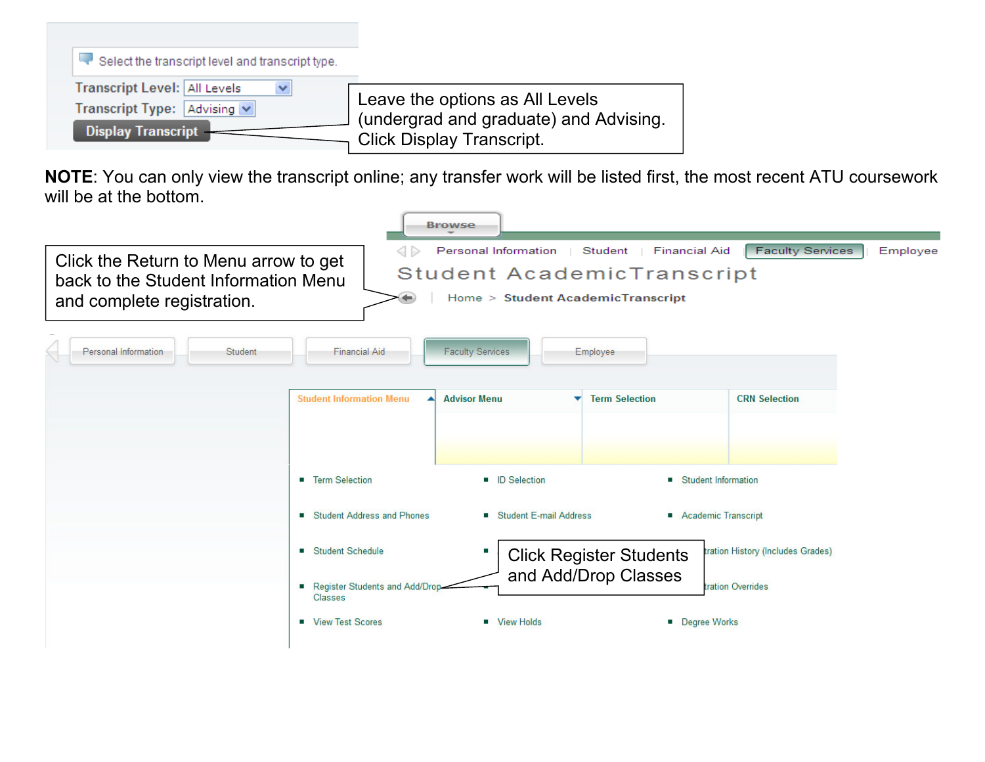

**NOTE**: You can only view the transcript online; any transfer work will be listed first, the most recent ATU coursework will be at the bottom.